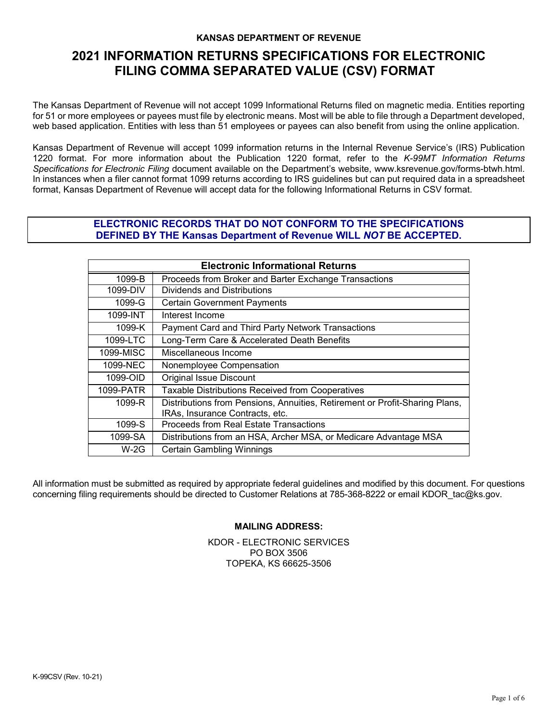#### **KANSAS DEPARTMENT OF REVENUE**

# **2021 INFORMATION RETURNS SPECIFICATIONS FOR ELECTRONIC FILING COMMA SEPARATED VALUE (CSV) FORMAT**

The Kansas Department of Revenue will not accept 1099 Informational Returns filed on magnetic media. Entities reporting for 51 or more employees or payees must file by electronic means. Most will be able to file through a Department developed, web based application. Entities with less than 51 employees or payees can also benefit from using the online application.

Kansas Department of Revenue will accept 1099 information returns in the Internal Revenue Service's (IRS) Publication 1220 format. For more information about the Publication 1220 format, refer to the *K-99MT Information Returns Specifications for Electronic Filing* document available on the Department's website, www.ksrevenue.gov[/forms-btwh.html](http://www.ksrevenue.org/forms-btwh.htm). In instances when a filer cannot format 1099 returns according to IRS guidelines but can put required data in a spreadsheet format, Kansas Department of Revenue will accept data for the following Informational Returns in CSV format.

#### **ELECTRONIC RECORDS THAT DO NOT CONFORM TO THE SPECIFICATIONS DEFINED BY THE Kansas Department of Revenue WILL** *NOT* **BE ACCEPTED.**

| <b>Electronic Informational Returns</b> |                                                                             |  |  |
|-----------------------------------------|-----------------------------------------------------------------------------|--|--|
| 1099-B                                  | Proceeds from Broker and Barter Exchange Transactions                       |  |  |
| 1099-DIV                                | Dividends and Distributions                                                 |  |  |
| 1099-G                                  | <b>Certain Government Payments</b>                                          |  |  |
| 1099-INT                                | Interest Income                                                             |  |  |
| 1099-K                                  | Payment Card and Third Party Network Transactions                           |  |  |
| 1099-LTC                                | Long-Term Care & Accelerated Death Benefits                                 |  |  |
| 1099-MISC                               | Miscellaneous Income                                                        |  |  |
| 1099-NEC                                | Nonemployee Compensation                                                    |  |  |
| 1099-OID                                | <b>Original Issue Discount</b>                                              |  |  |
| 1099-PATR                               | Taxable Distributions Received from Cooperatives                            |  |  |
| 1099-R                                  | Distributions from Pensions, Annuities, Retirement or Profit-Sharing Plans, |  |  |
|                                         | IRAs, Insurance Contracts, etc.                                             |  |  |
| 1099-S                                  | Proceeds from Real Estate Transactions                                      |  |  |
| 1099-SA                                 | Distributions from an HSA, Archer MSA, or Medicare Advantage MSA            |  |  |
| $W-2G$                                  | <b>Certain Gambling Winnings</b>                                            |  |  |

All information must be submitted as required by appropriate federal guidelines and modified by this document. For questions concerning filing requirements should be directed to Customer Relations at 785-368-8222 or email KDOR\_tac@ks.gov.

#### **MAILING ADDRESS:**

KDOR - ELECTRONIC SERVICES PO BOX 3506 TOPEKA, KS 66625-3506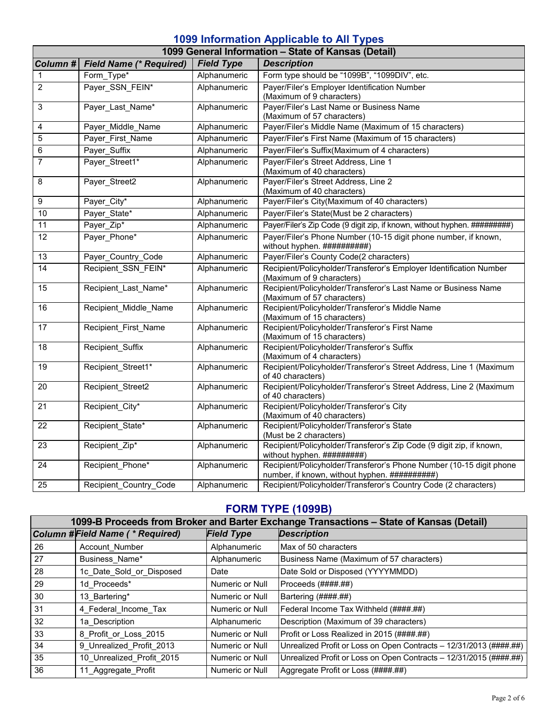# **1099 Information Applicable to All Types**

| 1099 General Information - State of Kansas (Detail) |                                |                   |                                                                                                                      |  |  |
|-----------------------------------------------------|--------------------------------|-------------------|----------------------------------------------------------------------------------------------------------------------|--|--|
| Column#                                             | <b>Field Name (* Required)</b> | <b>Field Type</b> | <b>Description</b>                                                                                                   |  |  |
| 1                                                   | Form_Type*                     | Alphanumeric      | Form type should be "1099B", "1099DIV", etc.                                                                         |  |  |
| $\overline{c}$                                      | Payer_SSN_FEIN*                | Alphanumeric      | Payer/Filer's Employer Identification Number<br>(Maximum of 9 characters)                                            |  |  |
| 3                                                   | Payer_Last_Name*               | Alphanumeric      | Payer/Filer's Last Name or Business Name<br>(Maximum of 57 characters)                                               |  |  |
| 4                                                   | Payer Middle Name              | Alphanumeric      | Payer/Filer's Middle Name (Maximum of 15 characters)                                                                 |  |  |
| 5                                                   | Payer First Name               | Alphanumeric      | Payer/Filer's First Name (Maximum of 15 characters)                                                                  |  |  |
| 6                                                   | Payer Suffix                   | Alphanumeric      | Payer/Filer's Suffix(Maximum of 4 characters)                                                                        |  |  |
| 7                                                   | Payer Street1*                 | Alphanumeric      | Payer/Filer's Street Address, Line 1<br>(Maximum of 40 characters)                                                   |  |  |
| 8                                                   | Payer_Street2                  | Alphanumeric      | Payer/Filer's Street Address, Line 2<br>(Maximum of 40 characters)                                                   |  |  |
| 9                                                   | Payer_City*                    | Alphanumeric      | Payer/Filer's City(Maximum of 40 characters)                                                                         |  |  |
| 10                                                  | Payer State*                   | Alphanumeric      | Payer/Filer's State(Must be 2 characters)                                                                            |  |  |
| 11                                                  | Payer_Zip*                     | Alphanumeric      | Payer/Filer's Zip Code (9 digit zip, if known, without hyphen. ##########)                                           |  |  |
| 12                                                  | Payer Phone*                   | Alphanumeric      | Payer/Filer's Phone Number (10-15 digit phone number, if known,<br>without hyphen. ###########                       |  |  |
| 13                                                  | Payer Country Code             | Alphanumeric      | Payer/Filer's County Code(2 characters)                                                                              |  |  |
| $\overline{14}$                                     | Recipient SSN FEIN*            | Alphanumeric      | Recipient/Policyholder/Transferor's Employer Identification Number<br>(Maximum of 9 characters)                      |  |  |
| $\overline{15}$                                     | Recipient_Last_Name*           | Alphanumeric      | Recipient/Policyholder/Transferor's Last Name or Business Name<br>(Maximum of 57 characters)                         |  |  |
| 16                                                  | Recipient_Middle_Name          | Alphanumeric      | Recipient/Policyholder/Transferor's Middle Name<br>(Maximum of 15 characters)                                        |  |  |
| $\overline{17}$                                     | Recipient First Name           | Alphanumeric      | Recipient/Policyholder/Transferor's First Name<br>(Maximum of 15 characters)                                         |  |  |
| 18                                                  | Recipient Suffix               | Alphanumeric      | Recipient/Policyholder/Transferor's Suffix<br>(Maximum of 4 characters)                                              |  |  |
| 19                                                  | Recipient Street1*             | Alphanumeric      | Recipient/Policyholder/Transferor's Street Address, Line 1 (Maximum<br>of 40 characters)                             |  |  |
| 20                                                  | Recipient_Street2              | Alphanumeric      | Recipient/Policyholder/Transferor's Street Address, Line 2 (Maximum<br>of 40 characters)                             |  |  |
| 21                                                  | Recipient_City*                | Alphanumeric      | Recipient/Policyholder/Transferor's City<br>(Maximum of 40 characters)                                               |  |  |
| $\overline{22}$                                     | Recipient State*               | Alphanumeric      | Recipient/Policyholder/Transferor's State<br>(Must be 2 characters)                                                  |  |  |
| 23                                                  | Recipient Zip*                 | Alphanumeric      | Recipient/Policyholder/Transferor's Zip Code (9 digit zip, if known,<br>without hyphen. ##########)                  |  |  |
| 24                                                  | Recipient_Phone*               | Alphanumeric      | Recipient/Policyholder/Transferor's Phone Number (10-15 digit phone<br>number, if known, without hyphen. ########### |  |  |
| $\overline{25}$                                     | Recipient_Country_Code         | Alphanumeric      | Recipient/Policyholder/Transferor's Country Code (2 characters)                                                      |  |  |

# **FORM TYPE (1099B)**

|    | 1099-B Proceeds from Broker and Barter Exchange Transactions - State of Kansas (Detail) |                   |                                                                    |  |
|----|-----------------------------------------------------------------------------------------|-------------------|--------------------------------------------------------------------|--|
|    | Column #Field Name (* Required)                                                         | <b>Field Type</b> | <b>Description</b>                                                 |  |
| 26 | Account Number                                                                          | Alphanumeric      | Max of 50 characters                                               |  |
| 27 | Business Name*                                                                          | Alphanumeric      | Business Name (Maximum of 57 characters)                           |  |
| 28 | 1c Date Sold or Disposed                                                                | Date              | Date Sold or Disposed (YYYYMMDD)                                   |  |
| 29 | 1d Proceeds*                                                                            | Numeric or Null   | Proceeds (####.##)                                                 |  |
| 30 | 13 Bartering*                                                                           | Numeric or Null   | Bartering (####.##)                                                |  |
| 31 | 4 Federal Income Tax                                                                    | Numeric or Null   | Federal Income Tax Withheld (####.##)                              |  |
| 32 | 1a Description                                                                          | Alphanumeric      | Description (Maximum of 39 characters)                             |  |
| 33 | 8 Profit or Loss 2015                                                                   | Numeric or Null   | Profit or Loss Realized in 2015 (####.##)                          |  |
| 34 | 9 Unrealized Profit 2013                                                                | Numeric or Null   | Unrealized Profit or Loss on Open Contracts - 12/31/2013 (####.##) |  |
| 35 | 10 Unrealized Profit 2015                                                               | Numeric or Null   | Unrealized Profit or Loss on Open Contracts - 12/31/2015 (####.##) |  |
| 36 | 11_Aggregate_Profit                                                                     | Numeric or Null   | Aggregate Profit or Loss (####.##)                                 |  |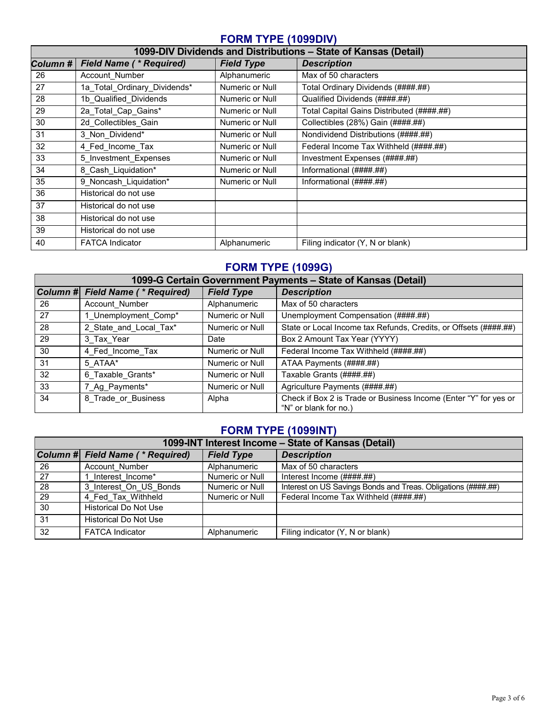### **FORM TYPE (1099DIV)**

|          | 1099-DIV Dividends and Distributions - State of Kansas (Detail) |                   |                                           |  |
|----------|-----------------------------------------------------------------|-------------------|-------------------------------------------|--|
| Column # | <b>Field Name (* Required)</b>                                  | <b>Field Type</b> | <b>Description</b>                        |  |
| 26       | Account Number                                                  | Alphanumeric      | Max of 50 characters                      |  |
| 27       | 1a Total Ordinary Dividends*                                    | Numeric or Null   | Total Ordinary Dividends (####.##)        |  |
| 28       | 1b_Qualified_Dividends                                          | Numeric or Null   | Qualified Dividends (####.##)             |  |
| 29       | 2a Total Cap Gains*                                             | Numeric or Null   | Total Capital Gains Distributed (####.##) |  |
| 30       | 2d Collectibles Gain                                            | Numeric or Null   | Collectibles (28%) Gain (####.##)         |  |
| 31       | 3 Non Dividend*                                                 | Numeric or Null   | Nondividend Distributions (####.##)       |  |
| 32       | 4 Fed_Income_Tax                                                | Numeric or Null   | Federal Income Tax Withheld (####.##)     |  |
| 33       | 5 Investment Expenses                                           | Numeric or Null   | Investment Expenses (####.##)             |  |
| 34       | 8 Cash Liquidation*                                             | Numeric or Null   | Informational (####.##)                   |  |
| 35       | 9_Noncash_Liquidation*                                          | Numeric or Null   | Informational (####.##)                   |  |
| 36       | Historical do not use                                           |                   |                                           |  |
| 37       | Historical do not use                                           |                   |                                           |  |
| 38       | Historical do not use                                           |                   |                                           |  |
| 39       | Historical do not use                                           |                   |                                           |  |
| 40       | <b>FATCA Indicator</b>                                          | Alphanumeric      | Filing indicator (Y, N or blank)          |  |

# **FORM TYPE (1099G)**

|    | 1099-G Certain Government Payments - State of Kansas (Detail) |                   |                                                                                           |  |
|----|---------------------------------------------------------------|-------------------|-------------------------------------------------------------------------------------------|--|
|    | Column # Field Name (* Required)                              | <b>Field Type</b> | <b>Description</b>                                                                        |  |
| 26 | Account Number                                                | Alphanumeric      | Max of 50 characters                                                                      |  |
| 27 | 1 Unemployment Comp*                                          | Numeric or Null   | Unemployment Compensation (####.##)                                                       |  |
| 28 | 2 State and Local Tax*                                        | Numeric or Null   | State or Local Income tax Refunds, Credits, or Offsets (####.##)                          |  |
| 29 | 3 Tax Year                                                    | Date              | Box 2 Amount Tax Year (YYYY)                                                              |  |
| 30 | 4 Fed Income Tax                                              | Numeric or Null   | Federal Income Tax Withheld (####.##)                                                     |  |
| 31 | 5 ATAA*                                                       | Numeric or Null   | ATAA Payments (####.##)                                                                   |  |
| 32 | 6 Taxable Grants*                                             | Numeric or Null   | Taxable Grants (####.##)                                                                  |  |
| 33 | 7 Ag Payments*                                                | Numeric or Null   | Agriculture Payments (####.##)                                                            |  |
| 34 | 8 Trade or Business                                           | Alpha             | Check if Box 2 is Trade or Business Income (Enter "Y" for yes or<br>"N" or blank for no.) |  |

# **FORM TYPE (1099INT)**

| 1099-INT Interest Income - State of Kansas (Detail) |                                  |                   |                                                               |
|-----------------------------------------------------|----------------------------------|-------------------|---------------------------------------------------------------|
|                                                     | Column # Field Name (* Required) | <b>Field Type</b> | <b>Description</b>                                            |
| -26                                                 | Account Number                   | Alphanumeric      | Max of 50 characters                                          |
| 27                                                  | Interest Income*                 | Numeric or Null   | Interest Income $(\# \# \# \# \# \#)$                         |
| -28                                                 | 3 Interest On US Bonds           | Numeric or Null   | Interest on US Savings Bonds and Treas. Obligations (####.##) |
| 29                                                  | 4 Fed Tax Withheld               | Numeric or Null   | Federal Income Tax Withheld (####.##)                         |
| $\overline{30}$                                     | Historical Do Not Use            |                   |                                                               |
| 31                                                  | Historical Do Not Use            |                   |                                                               |
| $\overline{32}$                                     | <b>FATCA Indicator</b>           | Alphanumeric      | Filing indicator (Y, N or blank)                              |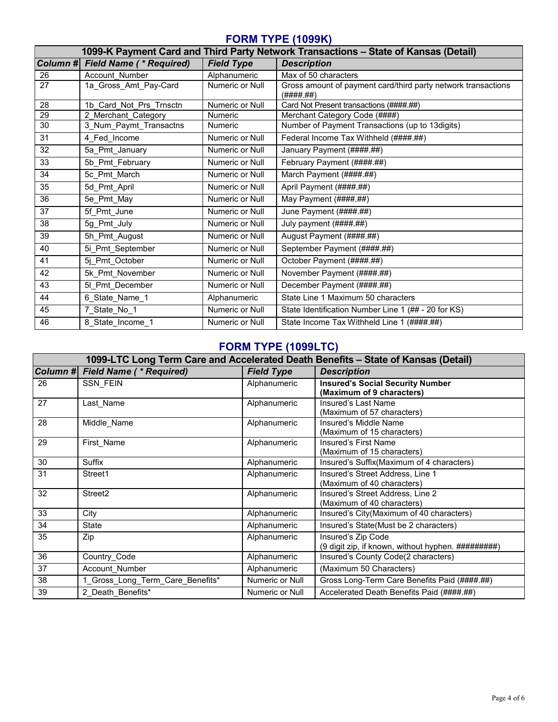### **FORM TYPE (1099K)**

|                 |                                |                   | 1099-K Payment Card and Third Party Network Transactions - State of Kansas (Detail) |
|-----------------|--------------------------------|-------------------|-------------------------------------------------------------------------------------|
| Column #        | <b>Field Name (* Required)</b> | <b>Field Type</b> | <b>Description</b>                                                                  |
| 26              | Account Number                 | Alphanumeric      | Max of 50 characters                                                                |
| 27              | 1a_Gross_Amt_Pay-Card          | Numeric or Null   | Gross amount of payment card/third party network transactions<br>(H# # # # ##)      |
| 28              | 1b Card Not Prs Trnsctn        | Numeric or Null   | Card Not Present transactions (####.##)                                             |
| 29              | 2 Merchant Category            | <b>Numeric</b>    | Merchant Category Code (####)                                                       |
| 30              | 3_Num_Paymt_Transactns         | <b>Numeric</b>    | Number of Payment Transactions (up to 13digits)                                     |
| 31              | 4 Fed Income                   | Numeric or Null   | Federal Income Tax Withheld (####.##)                                               |
| $\overline{32}$ | 5a Pmt January                 | Numeric or Null   | January Payment (####.##)                                                           |
| 33              | 5b Pmt February                | Numeric or Null   | February Payment (####.##)                                                          |
| 34              | 5c_Pmt_March                   | Numeric or Null   | March Payment (####.##)                                                             |
| 35              | 5d Pmt April                   | Numeric or Null   | April Payment (####.##)                                                             |
| 36              | 5e_Pmt_May                     | Numeric or Null   | May Payment (####.##)                                                               |
| $\overline{37}$ | 5f Pmt June                    | Numeric or Null   | June Payment (####.##)                                                              |
| 38              | 5g Pmt July                    | Numeric or Null   | July payment (####.##)                                                              |
| 39              | 5h_Pmt_August                  | Numeric or Null   | August Payment (####.##)                                                            |
| 40              | 5i Pmt September               | Numeric or Null   | September Payment (####.##)                                                         |
| 41              | 5j Pmt October                 | Numeric or Null   | October Payment (####.##)                                                           |
| 42              | 5k Pmt November                | Numeric or Null   | November Payment (####.##)                                                          |
| 43              | 51 Pmt December                | Numeric or Null   | December Payment (####.##)                                                          |
| 44              | 6_State_Name_1                 | Alphanumeric      | State Line 1 Maximum 50 characters                                                  |
| 45              | 7_State_No_1                   | Numeric or Null   | State Identification Number Line 1 (## - 20 for KS)                                 |
| 46              | 8 State Income 1               | Numeric or Null   | State Income Tax Withheld Line 1 (####.##)                                          |

## **FORM TYPE (1099LTC)**

|                         | 1099-LTC Long Term Care and Accelerated Death Benefits - State of Kansas (Detail) |                   |                                                                           |  |
|-------------------------|-----------------------------------------------------------------------------------|-------------------|---------------------------------------------------------------------------|--|
| $\vert$ Column# $\vert$ | <b>Field Name (* Required)</b>                                                    | <b>Field Type</b> | <b>Description</b>                                                        |  |
| 26                      | <b>SSN FEIN</b>                                                                   | Alphanumeric      | <b>Insured's Social Security Number</b><br>(Maximum of 9 characters)      |  |
| 27                      | Last Name                                                                         | Alphanumeric      | Insured's Last Name<br>(Maximum of 57 characters)                         |  |
| 28                      | Middle Name                                                                       | Alphanumeric      | Insured's Middle Name<br>(Maximum of 15 characters)                       |  |
| 29                      | First Name                                                                        | Alphanumeric      | Insured's First Name<br>(Maximum of 15 characters)                        |  |
| 30                      | <b>Suffix</b>                                                                     | Alphanumeric      | Insured's Suffix(Maximum of 4 characters)                                 |  |
| 31                      | Street1                                                                           | Alphanumeric      | Insured's Street Address, Line 1<br>(Maximum of 40 characters)            |  |
| 32                      | Street <sub>2</sub>                                                               | Alphanumeric      | Insured's Street Address, Line 2<br>(Maximum of 40 characters)            |  |
| 33                      | City                                                                              | Alphanumeric      | Insured's City(Maximum of 40 characters)                                  |  |
| 34                      | State                                                                             | Alphanumeric      | Insured's State(Must be 2 characters)                                     |  |
| 35                      | Zip                                                                               | Alphanumeric      | Insured's Zip Code<br>(9 digit zip, if known, without hyphen. ##########) |  |
| 36                      | Country Code                                                                      | Alphanumeric      | Insured's County Code(2 characters)                                       |  |
| 37                      | Account Number                                                                    | Alphanumeric      | (Maximum 50 Characters)                                                   |  |
| 38                      | 1_Gross_Long_Term_Care_Benefits*                                                  | Numeric or Null   | Gross Long-Term Care Benefits Paid (####.##)                              |  |
| 39                      | 2 Death Benefits*                                                                 | Numeric or Null   | Accelerated Death Benefits Paid (####.##)                                 |  |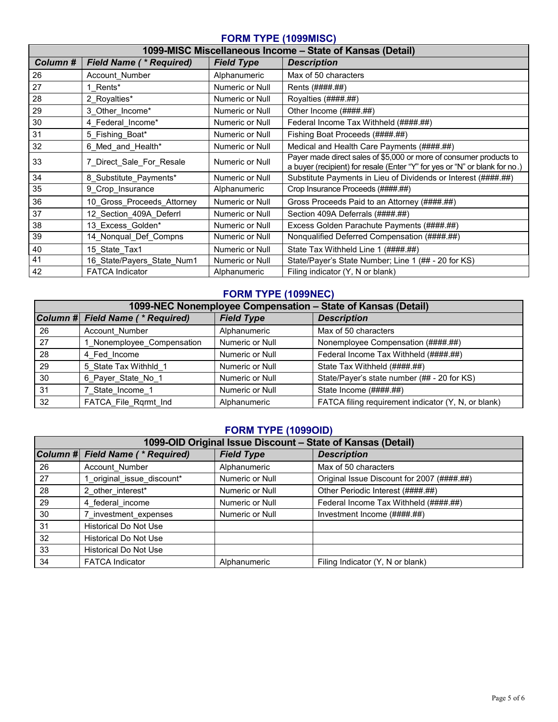#### **FORM TYPE (1099MISC)**

|         | 1099-MISC Miscellaneous Income - State of Kansas (Detail) |                   |                                                                                                                                                  |  |
|---------|-----------------------------------------------------------|-------------------|--------------------------------------------------------------------------------------------------------------------------------------------------|--|
| Column# | <b>Field Name (* Required)</b>                            | <b>Field Type</b> | <b>Description</b>                                                                                                                               |  |
| 26      | Account Number                                            | Alphanumeric      | Max of 50 characters                                                                                                                             |  |
| 27      | 1 Rents*                                                  | Numeric or Null   | Rents (####.##)                                                                                                                                  |  |
| 28      | 2 Royalties*                                              | Numeric or Null   | Royalties (####.##)                                                                                                                              |  |
| 29      | 3 Other Income*                                           | Numeric or Null   | Other Income (####.##)                                                                                                                           |  |
| 30      | 4 Federal Income*                                         | Numeric or Null   | Federal Income Tax Withheld (#### ##)                                                                                                            |  |
| 31      | 5 Fishing Boat*                                           | Numeric or Null   | Fishing Boat Proceeds (#### ##)                                                                                                                  |  |
| 32      | 6 Med and Health*                                         | Numeric or Null   | Medical and Health Care Payments (####.##)                                                                                                       |  |
| 33      | 7 Direct Sale For Resale                                  | Numeric or Null   | Payer made direct sales of \$5,000 or more of consumer products to<br>a buyer (recipient) for resale (Enter "Y" for yes or "N" or blank for no.) |  |
| 34      | 8 Substitute Payments*                                    | Numeric or Null   | Substitute Payments in Lieu of Dividends or Interest (####.##)                                                                                   |  |
| 35      | 9 Crop Insurance                                          | Alphanumeric      | Crop Insurance Proceeds (####.##)                                                                                                                |  |
| 36      | 10 Gross Proceeds Attorney                                | Numeric or Null   | Gross Proceeds Paid to an Attorney (####.##)                                                                                                     |  |
| 37      | 12_Section_409A_Deferrl                                   | Numeric or Null   | Section 409A Deferrals (####.##)                                                                                                                 |  |
| 38      | 13 Excess Golden*                                         | Numeric or Null   | Excess Golden Parachute Payments (####.##)                                                                                                       |  |
| 39      | 14 Nonqual Def Compns                                     | Numeric or Null   | Nonqualified Deferred Compensation (####.##)                                                                                                     |  |
| 40      | 15 State Tax1                                             | Numeric or Null   | State Tax Withheld Line 1 (####.##)                                                                                                              |  |
| 41      | 16 State/Payers State Num1                                | Numeric or Null   | State/Payer's State Number; Line 1 (## - 20 for KS)                                                                                              |  |
| 42      | <b>FATCA Indicator</b>                                    | Alphanumeric      | Filing indicator (Y, N or blank)                                                                                                                 |  |

### **FORM TYPE (1099NEC)**

| 1099-NEC Nonemployee Compensation – State of Kansas (Detail) |                                  |                   |                                                     |
|--------------------------------------------------------------|----------------------------------|-------------------|-----------------------------------------------------|
|                                                              | Column # Field Name (* Required) | <b>Field Type</b> | <b>Description</b>                                  |
| 26                                                           | <b>Account Number</b>            | Alphanumeric      | Max of 50 characters                                |
| 27                                                           | Nonemployee_Compensation         | Numeric or Null   | Nonemployee Compensation (####.##)                  |
| 28                                                           | 4 Fed Income                     | Numeric or Null   | Federal Income Tax Withheld (####.##)               |
| 29                                                           | 5 State Tax Withhld 1            | Numeric or Null   | State Tax Withheld (####.##)                        |
| 30                                                           | 6 Payer State No 1               | Numeric or Null   | State/Payer's state number (## - 20 for KS)         |
| 31                                                           | 7 State Income 1                 | Numeric or Null   | State Income (####.##)                              |
| 32                                                           | FATCA File Rqrmt Ind             | Alphanumeric      | FATCA filing requirement indicator (Y, N, or blank) |

### **FORM TYPE (1099OID)**

| 1099-OID Original Issue Discount - State of Kansas (Detail) |                                  |                   |                                            |
|-------------------------------------------------------------|----------------------------------|-------------------|--------------------------------------------|
|                                                             | Column # Field Name (* Required) | <b>Field Type</b> | <b>Description</b>                         |
| 26                                                          | Account Number                   | Alphanumeric      | Max of 50 characters                       |
| 27                                                          | 1 original issue discount*       | Numeric or Null   | Original Issue Discount for 2007 (####.##) |
| 28                                                          | 2 other interest*                | Numeric or Null   | Other Periodic Interest (####.##)          |
| 29                                                          | 4 federal income                 | Numeric or Null   | Federal Income Tax Withheld (####.##)      |
| 30                                                          | 7 investment expenses            | Numeric or Null   | Investment Income (####.##)                |
| 31                                                          | Historical Do Not Use            |                   |                                            |
| 32                                                          | <b>Historical Do Not Use</b>     |                   |                                            |
| 33                                                          | <b>Historical Do Not Use</b>     |                   |                                            |
| 34                                                          | <b>FATCA Indicator</b>           | Alphanumeric      | Filing Indicator (Y, N or blank)           |